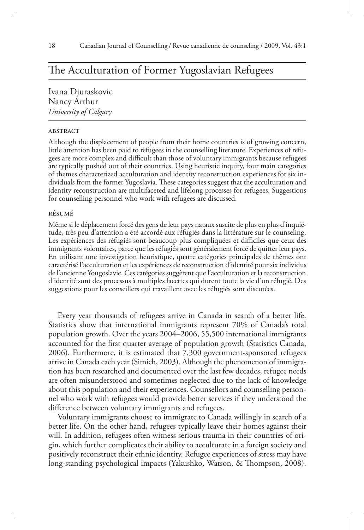# The Acculturation of Former Yugoslavian Refugees

Ivana Djuraskovic Nancy Arthur *University of Calgary*

# **ABSTRACT**

Although the displacement of people from their home countries is of growing concern, little attention has been paid to refugees in the counselling literature. Experiences of refugees are more complex and difficult than those of voluntary immigrants because refugees are typically pushed out of their countries. Using heuristic inquiry, four main categories of themes characterized acculturation and identity reconstruction experiences for six individuals from the former Yugoslavia. These categories suggest that the acculturation and identity reconstruction are multifaceted and lifelong processes for refugees. Suggestions for counselling personnel who work with refugees are discussed.

## résumé

Même si le déplacement forcé des gens de leur pays nataux suscite de plus en plus d'inquiétude, très peu d'attention a été accordé aux réfugiés dans la littérature sur le counseling. Les expériences des réfugiés sont beaucoup plus compliquées et difficiles que ceux des immigrants volontaires, parce que les réfugiés sont généralement forcé de quitter leur pays. En utilisant une investigation heuristique, quatre catégories principales de thèmes ont caractérisé l'acculturation et les expériences de reconstruction d'identité pour six individus de l'ancienne Yougoslavie. Ces catégories suggèrent que l'acculturation et la reconstruction d'identité sont des processus à multiples facettes qui durent toute la vie d'un réfugié. Des suggestions pour les conseillers qui travaillent avec les réfugiés sont discutées.

Every year thousands of refugees arrive in Canada in search of a better life. Statistics show that international immigrants represent 70% of Canada's total population growth. Over the years 2004–2006, 55,500 international immigrants accounted for the first quarter average of population growth (Statistics Canada, 2006). Furthermore, it is estimated that 7,300 government-sponsored refugees arrive in Canada each year (Simich, 2003). Although the phenomenon of immigration has been researched and documented over the last few decades, refugee needs are often misunderstood and sometimes neglected due to the lack of knowledge about this population and their experiences. Counsellors and counselling personnel who work with refugees would provide better services if they understood the difference between voluntary immigrants and refugees.

Voluntary immigrants choose to immigrate to Canada willingly in search of a better life. On the other hand, refugees typically leave their homes against their will. In addition, refugees often witness serious trauma in their countries of origin, which further complicates their ability to acculturate in a foreign society and positively reconstruct their ethnic identity. Refugee experiences of stress may have long-standing psychological impacts (Yakushko, Watson, & Thompson, 2008).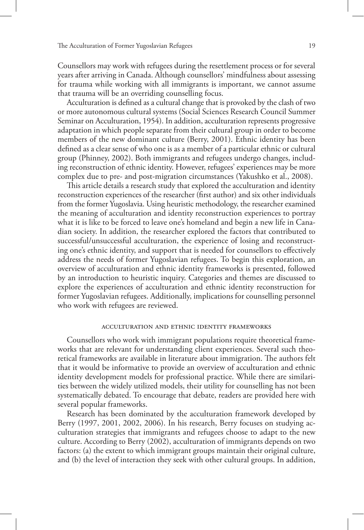Counsellors may work with refugees during the resettlement process or for several years after arriving in Canada. Although counsellors' mindfulness about assessing for trauma while working with all immigrants is important, we cannot assume that trauma will be an overriding counselling focus.

Acculturation is defined as a cultural change that is provoked by the clash of two or more autonomous cultural systems (Social Sciences Research Council Summer Seminar on Acculturation, 1954). In addition, acculturation represents progressive adaptation in which people separate from their cultural group in order to become members of the new dominant culture (Berry, 2001). Ethnic identity has been defined as a clear sense of who one is as a member of a particular ethnic or cultural group (Phinney, 2002). Both immigrants and refugees undergo changes, including reconstruction of ethnic identity. However, refugees' experiences may be more complex due to pre- and post-migration circumstances (Yakushko et al., 2008).

This article details a research study that explored the acculturation and identity reconstruction experiences of the researcher (first author) and six other individuals from the former Yugoslavia. Using heuristic methodology, the researcher examined the meaning of acculturation and identity reconstruction experiences to portray what it is like to be forced to leave one's homeland and begin a new life in Canadian society. In addition, the researcher explored the factors that contributed to successful/unsuccessful acculturation, the experience of losing and reconstructing one's ethnic identity, and support that is needed for counsellors to effectively address the needs of former Yugoslavian refugees. To begin this exploration, an overview of acculturation and ethnic identity frameworks is presented, followed by an introduction to heuristic inquiry. Categories and themes are discussed to explore the experiences of acculturation and ethnic identity reconstruction for former Yugoslavian refugees. Additionally, implications for counselling personnel who work with refugees are reviewed.

## acculturation and ethnic identity frameworks

Counsellors who work with immigrant populations require theoretical frameworks that are relevant for understanding client experiences. Several such theoretical frameworks are available in literature about immigration. The authors felt that it would be informative to provide an overview of acculturation and ethnic identity development models for professional practice. While there are similarities between the widely utilized models, their utility for counselling has not been systematically debated. To encourage that debate, readers are provided here with several popular frameworks.

Research has been dominated by the acculturation framework developed by Berry (1997, 2001, 2002, 2006). In his research, Berry focuses on studying acculturation strategies that immigrants and refugees choose to adapt to the new culture. According to Berry (2002), acculturation of immigrants depends on two factors: (a) the extent to which immigrant groups maintain their original culture, and (b) the level of interaction they seek with other cultural groups. In addition,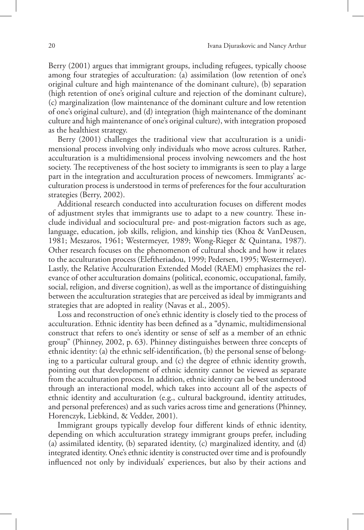Berry (2001) argues that immigrant groups, including refugees, typically choose among four strategies of acculturation: (a) assimilation (low retention of one's original culture and high maintenance of the dominant culture), (b) separation (high retention of one's original culture and rejection of the dominant culture), (c) marginalization (low maintenance of the dominant culture and low retention of one's original culture), and (d) integration (high maintenance of the dominant culture and high maintenance of one's original culture), with integration proposed as the healthiest strategy.

Berry (2001) challenges the traditional view that acculturation is a unidimensional process involving only individuals who move across cultures. Rather, acculturation is a multidimensional process involving newcomers and the host society. The receptiveness of the host society to immigrants is seen to play a large part in the integration and acculturation process of newcomers. Immigrants' acculturation process is understood in terms of preferences for the four acculturation strategies (Berry, 2002).

Additional research conducted into acculturation focuses on different modes of adjustment styles that immigrants use to adapt to a new country. These include individual and sociocultural pre- and post-migration factors such as age, language, education, job skills, religion, and kinship ties (Khoa & VanDeusen, 1981; Meszaros, 1961; Westermeyer, 1989; Wong-Rieger & Quintana, 1987). Other research focuses on the phenomenon of cultural shock and how it relates to the acculturation process (Eleftheriadou, 1999; Pedersen, 1995; Westermeyer). Lastly, the Relative Acculturation Extended Model (RAEM) emphasizes the relevance of other acculturation domains (political, economic, occupational, family, social, religion, and diverse cognition), as well as the importance of distinguishing between the acculturation strategies that are perceived as ideal by immigrants and strategies that are adopted in reality (Navas et al., 2005).

Loss and reconstruction of one's ethnic identity is closely tied to the process of acculturation. Ethnic identity has been defined as a "dynamic, multidimensional construct that refers to one's identity or sense of self as a member of an ethnic group" (Phinney, 2002, p. 63). Phinney distinguishes between three concepts of ethnic identity: (a) the ethnic self-identification, (b) the personal sense of belonging to a particular cultural group, and (c) the degree of ethnic identity growth, pointing out that development of ethnic identity cannot be viewed as separate from the acculturation process. In addition, ethnic identity can be best understood through an interactional model, which takes into account all of the aspects of ethnic identity and acculturation (e.g., cultural background, identity attitudes, and personal preferences) and as such varies across time and generations (Phinney, Horenczyk, Liebkind, & Vedder, 2001).

Immigrant groups typically develop four different kinds of ethnic identity, depending on which acculturation strategy immigrant groups prefer, including (a) assimilated identity, (b) separated identity, (c) marginalized identity, and (d) integrated identity. One's ethnic identity is constructed over time and is profoundly influenced not only by individuals' experiences, but also by their actions and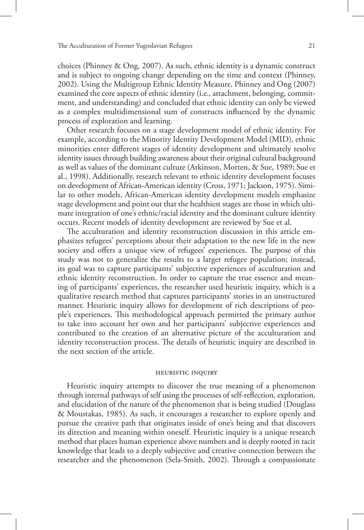choices (Phinney & Ong, 2007). As such, ethnic identity is a dynamic construct and is subject to ongoing change depending on the time and context (Phinney, 2002). Using the Multigroup Ethnic Identity Measure, Phinney and Ong (2007) examined the core aspects of ethnic identity (i.e., attachment, belonging, commitment, and understanding) and concluded that ethnic identity can only be viewed as a complex multidimensional sum of constructs influenced by the dynamic process of exploration and learning.

Other research focuses on a stage development model of ethnic identity. For example, according to the Minority Identity Development Model (MID), ethnic minorities enter different stages of identity development and ultimately resolve identity issues through building awareness about their original cultural background as well as values of the dominant culture (Atkinson, Morten, & Sue, 1989; Sue et al., 1998). Additionally, research relevant to ethnic identity development focuses on development of African-American identity (Cross, 1971; Jackson, 1975). Similar to other models, African-American identity development models emphasize stage development and point out that the healthiest stages are those in which ultimate integration of one's ethnic/racial identity and the dominant culture identity occurs. Recent models of identity development are reviewed by Sue et al.

The acculturation and identity reconstruction discussion in this article emphasizes refugees' perceptions about their adaptation to the new life in the new society and offers a unique view of refugees' experiences. The purpose of this study was not to generalize the results to a larger refugee population; instead, its goal was to capture participants' subjective experiences of acculturation and ethnic identity reconstruction. In order to capture the true essence and meaning of participants' experiences, the researcher used heuristic inquiry, which is a qualitative research method that captures participants' stories in an unstructured manner. Heuristic inquiry allows for development of rich descriptions of people's experiences. This methodological approach permitted the primary author to take into account her own and her participants' subjective experiences and contributed to the creation of an alternative picture of the acculturation and identity reconstruction process. The details of heuristic inquiry are described in the next section of the article.

#### heuristic inquiry

Heuristic inquiry attempts to discover the true meaning of a phenomenon through internal pathways of self using the processes of self-reflection, exploration, and elucidation of the nature of the phenomenon that is being studied (Douglass & Moustakas, 1985). As such, it encourages a researcher to explore openly and pursue the creative path that originates inside of one's being and that discovers its direction and meaning within oneself. Heuristic inquiry is a unique research method that places human experience above numbers and is deeply rooted in tacit knowledge that leads to a deeply subjective and creative connection between the researcher and the phenomenon (Sela-Smith, 2002). Through a compassionate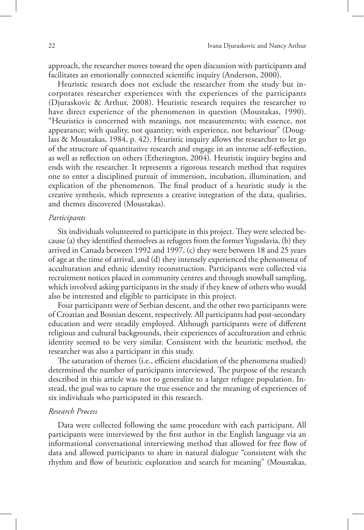approach, the researcher moves toward the open discussion with participants and facilitates an emotionally connected scientific inquiry (Anderson, 2000).

Heuristic research does not exclude the researcher from the study but incorporates researcher experiences with the experiences of the participants (Djuraskovic & Arthur, 2008). Heuristic research requires the researcher to have direct experience of the phenomenon in question (Moustakas, 1990). "Heuristics is concerned with meanings, not measurements; with essence, not appearance; with quality, not quantity; with experience, not behaviour" (Douglass & Moustakas, 1984, p. 42). Heuristic inquiry allows the researcher to let go of the structure of quantitative research and engage in an intense self-reflection, as well as reflection on others (Etherington, 2004). Heuristic inquiry begins and ends with the researcher. It represents a rigorous research method that requires one to enter a disciplined pursuit of immersion, incubation, illumination, and explication of the phenomenon. The final product of a heuristic study is the creative synthesis, which represents a creative integration of the data, qualities, and themes discovered (Moustakas).

# *Participants*

Six individuals volunteered to participate in this project. They were selected because (a) they identified themselves as refugees from the former Yugoslavia, (b) they arrived in Canada between 1992 and 1997, (c) they were between 18 and 25 years of age at the time of arrival, and (d) they intensely experienced the phenomena of acculturation and ethnic identity reconstruction. Participants were collected via recruitment notices placed in community centres and through snowball sampling, which involved asking participants in the study if they knew of others who would also be interested and eligible to participate in this project.

Four participants were of Serbian descent, and the other two participants were of Croatian and Bosnian descent, respectively. All participants had post-secondary education and were steadily employed. Although participants were of different religious and cultural backgrounds, their experiences of acculturation and ethnic identity seemed to be very similar. Consistent with the heuristic method, the researcher was also a participant in this study.

The saturation of themes (i.e., efficient elucidation of the phenomena studied) determined the number of participants interviewed. The purpose of the research described in this article was not to generalize to a larger refugee population. Instead, the goal was to capture the true essence and the meaning of experiences of six individuals who participated in this research.

# *Research Process*

Data were collected following the same procedure with each participant. All participants were interviewed by the first author in the English language via an informational conversational interviewing method that allowed for free flow of data and allowed participants to share in natural dialogue "consistent with the rhythm and flow of heuristic exploration and search for meaning" (Moustakas,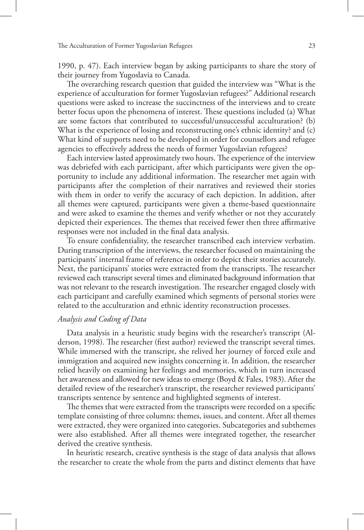1990, p. 47). Each interview began by asking participants to share the story of their journey from Yugoslavia to Canada.

The overarching research question that guided the interview was "What is the experience of acculturation for former Yugoslavian refugees?" Additional research questions were asked to increase the succinctness of the interviews and to create better focus upon the phenomena of interest. These questions included (a) What are some factors that contributed to successful/unsuccessful acculturation? (b) What is the experience of losing and reconstructing one's ethnic identity? and (c) What kind of supports need to be developed in order for counsellors and refugee agencies to effectively address the needs of former Yugoslavian refugees?

Each interview lasted approximately two hours. The experience of the interview was debriefed with each participant, after which participants were given the opportunity to include any additional information. The researcher met again with participants after the completion of their narratives and reviewed their stories with them in order to verify the accuracy of each depiction. In addition, after all themes were captured, participants were given a theme-based questionnaire and were asked to examine the themes and verify whether or not they accurately depicted their experiences. The themes that received fewer then three affirmative responses were not included in the final data analysis.

To ensure confidentiality, the researcher transcribed each interview verbatim. During transcription of the interviews, the researcher focused on maintaining the participants' internal frame of reference in order to depict their stories accurately. Next, the participants' stories were extracted from the transcripts. The researcher reviewed each transcript several times and eliminated background information that was not relevant to the research investigation. The researcher engaged closely with each participant and carefully examined which segments of personal stories were related to the acculturation and ethnic identity reconstruction processes.

# *Analysis and Coding of Data*

Data analysis in a heuristic study begins with the researcher's transcript (Alderson, 1998). The researcher (first author) reviewed the transcript several times. While immersed with the transcript, she relived her journey of forced exile and immigration and acquired new insights concerning it. In addition, the researcher relied heavily on examining her feelings and memories, which in turn increased her awareness and allowed for new ideas to emerge (Boyd & Fales, 1983). After the detailed review of the researcher's transcript, the researcher reviewed participants' transcripts sentence by sentence and highlighted segments of interest.

The themes that were extracted from the transcripts were recorded on a specific template consisting of three columns: themes, issues, and content. After all themes were extracted, they were organized into categories. Subcategories and subthemes were also established. After all themes were integrated together, the researcher derived the creative synthesis.

In heuristic research, creative synthesis is the stage of data analysis that allows the researcher to create the whole from the parts and distinct elements that have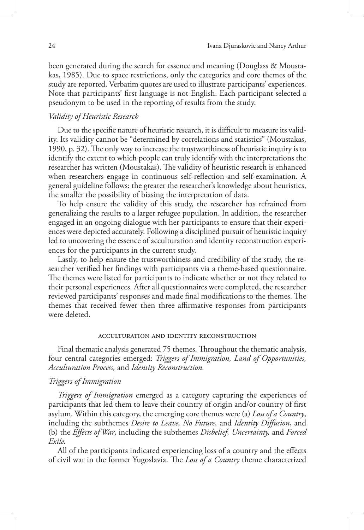been generated during the search for essence and meaning (Douglass & Moustakas, 1985). Due to space restrictions, only the categories and core themes of the study are reported. Verbatim quotes are used to illustrate participants' experiences. Note that participants' first language is not English. Each participant selected a pseudonym to be used in the reporting of results from the study.

# *Validity of Heuristic Research*

Due to the specific nature of heuristic research, it is difficult to measure its validity. Its validity cannot be "determined by correlations and statistics" (Moustakas, 1990, p. 32). The only way to increase the trustworthiness of heuristic inquiry is to identify the extent to which people can truly identify with the interpretations the researcher has written (Moustakas). The validity of heuristic research is enhanced when researchers engage in continuous self-reflection and self-examination. A general guideline follows: the greater the researcher's knowledge about heuristics, the smaller the possibility of biasing the interpretation of data.

To help ensure the validity of this study, the researcher has refrained from generalizing the results to a larger refugee population. In addition, the researcher engaged in an ongoing dialogue with her participants to ensure that their experiences were depicted accurately. Following a disciplined pursuit of heuristic inquiry led to uncovering the essence of acculturation and identity reconstruction experiences for the participants in the current study.

Lastly, to help ensure the trustworthiness and credibility of the study, the researcher verified her findings with participants via a theme-based questionnaire. The themes were listed for participants to indicate whether or not they related to their personal experiences. After all questionnaires were completed, the researcher reviewed participants' responses and made final modifications to the themes. The themes that received fewer then three affirmative responses from participants were deleted.

#### acculturation and identity reconstruction

Final thematic analysis generated 75 themes. Throughout the thematic analysis, four central categories emerged: *Triggers of Immigration, Land of Opportunities, Acculturation Process,* and *Identity Reconstruction.*

# *Triggers of Immigration*

*Triggers of Immigration* emerged as a category capturing the experiences of participants that led them to leave their country of origin and/or country of first asylum. Within this category, the emerging core themes were (a) *Loss of a Country*, including the subthemes *Desire to Leave, No Future,* and *Identity Diffusion*, and (b) the *Effects of War*, including the subthemes *Disbelief, Uncertainty,* and *Forced Exile.*

All of the participants indicated experiencing loss of a country and the effects of civil war in the former Yugoslavia. The *Loss of a Country* theme characterized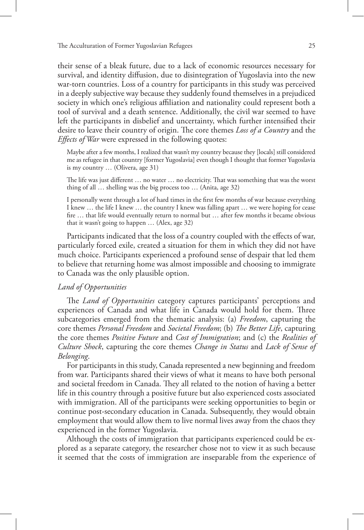their sense of a bleak future, due to a lack of economic resources necessary for survival, and identity diffusion, due to disintegration of Yugoslavia into the new war-torn countries. Loss of a country for participants in this study was perceived in a deeply subjective way because they suddenly found themselves in a prejudiced society in which one's religious affiliation and nationality could represent both a tool of survival and a death sentence. Additionally, the civil war seemed to have left the participants in disbelief and uncertainty, which further intensified their desire to leave their country of origin. The core themes *Loss of a Country* and the *Effects of War* were expressed in the following quotes:

Maybe after a few months, I realized that wasn't my country because they [locals] still considered me as refugee in that country [former Yugoslavia] even though I thought that former Yugoslavia is my country … (Olivera, age 31)

The life was just different … no water … no electricity. That was something that was the worst thing of all … shelling was the big process too … (Anita, age 32)

I personally went through a lot of hard times in the first few months of war because everything I knew … the life I knew … the country I knew was falling apart … we were hoping for cease fire … that life would eventually return to normal but … after few months it became obvious that it wasn't going to happen … (Alex, age 32)

Participants indicated that the loss of a country coupled with the effects of war, particularly forced exile, created a situation for them in which they did not have much choice. Participants experienced a profound sense of despair that led them to believe that returning home was almost impossible and choosing to immigrate to Canada was the only plausible option.

# *Land of Opportunities*

The *Land of Opportunities* category captures participants' perceptions and experiences of Canada and what life in Canada would hold for them. Three subcategories emerged from the thematic analysis: (a) *Freedom*, capturing the core themes *Personal Freedom* and *Societal Freedom*; (b) *The Better Life*, capturing the core themes *Positive Future* and *Cost of Immigration*; and (c) the *Realities of Culture Shock*, capturing the core themes *Change in Status* and *Lack of Sense of Belonging*.

For participants in this study, Canada represented a new beginning and freedom from war. Participants shared their views of what it means to have both personal and societal freedom in Canada. They all related to the notion of having a better life in this country through a positive future but also experienced costs associated with immigration. All of the participants were seeking opportunities to begin or continue post-secondary education in Canada. Subsequently, they would obtain employment that would allow them to live normal lives away from the chaos they experienced in the former Yugoslavia.

Although the costs of immigration that participants experienced could be explored as a separate category, the researcher chose not to view it as such because it seemed that the costs of immigration are inseparable from the experience of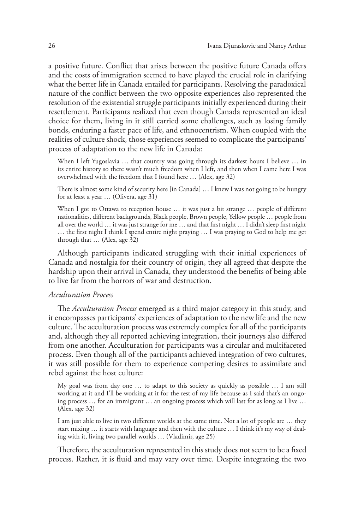a positive future. Conflict that arises between the positive future Canada offers and the costs of immigration seemed to have played the crucial role in clarifying what the better life in Canada entailed for participants. Resolving the paradoxical nature of the conflict between the two opposite experiences also represented the resolution of the existential struggle participants initially experienced during their resettlement. Participants realized that even though Canada represented an ideal choice for them, living in it still carried some challenges, such as losing family bonds, enduring a faster pace of life, and ethnocentrism. When coupled with the realities of culture shock, those experiences seemed to complicate the participants' process of adaptation to the new life in Canada:

When I left Yugoslavia ... that country was going through its darkest hours I believe ... in its entire history so there wasn't much freedom when I left, and then when I came here I was overwhelmed with the freedom that I found here … (Alex, age 32)

There is almost some kind of security here [in Canada] … I knew I was not going to be hungry for at least a year … (Olivera, age 31)

When I got to Ottawa to reception house ... it was just a bit strange ... people of different nationalities, different backgrounds, Black people, Brown people, Yellow people … people from all over the world … it was just strange for me … and that first night … I didn't sleep first night … the first night I think I spend entire night praying … I was praying to God to help me get through that … (Alex, age 32)

Although participants indicated struggling with their initial experiences of Canada and nostalgia for their country of origin, they all agreed that despite the hardship upon their arrival in Canada, they understood the benefits of being able to live far from the horrors of war and destruction.

# *Acculturation Process*

The *Acculturation Process* emerged as a third major category in this study, and it encompasses participants' experiences of adaptation to the new life and the new culture. The acculturation process was extremely complex for all of the participants and, although they all reported achieving integration, their journeys also differed from one another. Acculturation for participants was a circular and multifaceted process. Even though all of the participants achieved integration of two cultures, it was still possible for them to experience competing desires to assimilate and rebel against the host culture:

My goal was from day one … to adapt to this society as quickly as possible … I am still working at it and I'll be working at it for the rest of my life because as I said that's an ongoing process … for an immigrant … an ongoing process which will last for as long as I live … (Alex, age 32)

I am just able to live in two different worlds at the same time. Not a lot of people are … they start mixing … it starts with language and then with the culture … I think it's my way of dealing with it, living two parallel worlds … (Vladimir, age 25)

Therefore, the acculturation represented in this study does not seem to be a fixed process. Rather, it is fluid and may vary over time. Despite integrating the two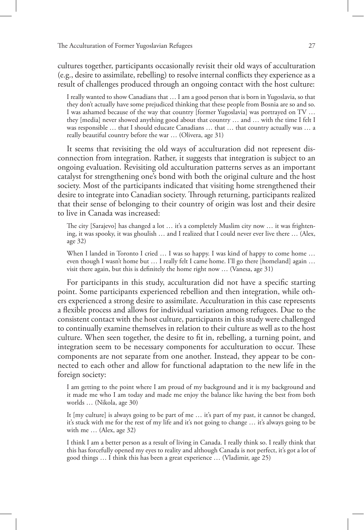cultures together, participants occasionally revisit their old ways of acculturation (e.g., desire to assimilate, rebelling) to resolve internal conflicts they experience as a result of challenges produced through an ongoing contact with the host culture:

I really wanted to show Canadians that … I am a good person that is born in Yugoslavia, so that they don't actually have some prejudiced thinking that these people from Bosnia are so and so. I was ashamed because of the way that country [former Yugoslavia] was portrayed on TV … they [media] never showed anything good about that country … and … with the time I felt I was responsible … that I should educate Canadians … that … that country actually was … a really beautiful country before the war … (Olivera, age 31)

It seems that revisiting the old ways of acculturation did not represent disconnection from integration. Rather, it suggests that integration is subject to an ongoing evaluation. Revisiting old acculturation patterns serves as an important catalyst for strengthening one's bond with both the original culture and the host society. Most of the participants indicated that visiting home strengthened their desire to integrate into Canadian society. Through returning, participants realized that their sense of belonging to their country of origin was lost and their desire to live in Canada was increased:

The city [Sarajevo] has changed a lot … it's a completely Muslim city now … it was frightening, it was spooky, it was ghoulish … and I realized that I could never ever live there … (Alex, age 32)

When I landed in Toronto I cried ... I was so happy. I was kind of happy to come home ... even though I wasn't home but … I really felt I came home. I'll go there [homeland] again … visit there again, but this is definitely the home right now … (Vanesa, age 31)

For participants in this study, acculturation did not have a specific starting point. Some participants experienced rebellion and then integration, while others experienced a strong desire to assimilate. Acculturation in this case represents a flexible process and allows for individual variation among refugees. Due to the consistent contact with the host culture, participants in this study were challenged to continually examine themselves in relation to their culture as well as to the host culture. When seen together, the desire to fit in, rebelling, a turning point, and integration seem to be necessary components for acculturation to occur. These components are not separate from one another. Instead, they appear to be connected to each other and allow for functional adaptation to the new life in the foreign society:

I am getting to the point where I am proud of my background and it is my background and it made me who I am today and made me enjoy the balance like having the best from both worlds … (Nikola, age 30)

It [my culture] is always going to be part of me … it's part of my past, it cannot be changed, it's stuck with me for the rest of my life and it's not going to change … it's always going to be with me … (Alex, age 32)

I think I am a better person as a result of living in Canada. I really think so. I really think that this has forcefully opened my eyes to reality and although Canada is not perfect, it's got a lot of good things … I think this has been a great experience … (Vladimir, age 25)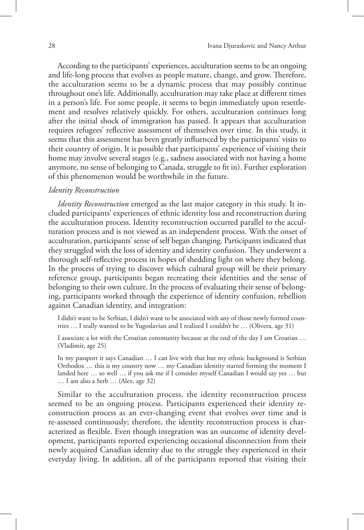According to the participants' experiences, acculturation seems to be an ongoing and life-long process that evolves as people mature, change, and grow. Therefore, the acculturation seems to be a dynamic process that may possibly continue throughout one's life. Additionally, acculturation may take place at different times in a person's life. For some people, it seems to begin immediately upon resettlement and resolves relatively quickly. For others, acculturation continues long after the initial shock of immigration has passed. It appears that acculturation requires refugees' reflective assessment of themselves over time. In this study, it seems that this assessment has been greatly influenced by the participants' visits to their country of origin. It is possible that participants' experience of visiting their home may involve several stages (e.g., sadness associated with not having a home anymore, no sense of belonging to Canada, struggle to fit in). Further exploration of this phenomenon would be worthwhile in the future.

## *Identity Reconstruction*

*Identity Reconstruction* emerged as the last major category in this study. It included participants' experiences of ethnic identity loss and reconstruction during the acculturation process. Identity reconstruction occurred parallel to the acculturation process and is not viewed as an independent process. With the onset of acculturation, participants' sense of self began changing. Participants indicated that they struggled with the loss of identity and identity confusion. They underwent a thorough self-reflective process in hopes of shedding light on where they belong. In the process of trying to discover which cultural group will be their primary reference group, participants began recreating their identities and the sense of belonging to their own culture. In the process of evaluating their sense of belonging, participants worked through the experience of identity confusion, rebellion against Canadian identity, and integration:

I didn't want to be Serbian, I didn't want to be associated with any of those newly formed countries … I really wanted to be Yugoslavian and I realized I couldn't be … (Olivera, age 31)

I associate a lot with the Croatian community because at the end of the day I am Croatian … (Vladimir, age 25)

In my passport it says Canadian … I can live with that but my ethnic background is Serbian Orthodox … this is my country now … my Canadian identity started forming the moment I landed here … so well … if you ask me if I consider myself Canadian I would say yes … but … I am also a Serb … (Alex, age 32)

Similar to the acculturation process, the identity reconstruction process seemed to be an ongoing process. Participants experienced their identity reconstruction process as an ever-changing event that evolves over time and is re-assessed continuously; therefore, the identity reconstruction process is characterized as flexible. Even though integration was an outcome of identity development, participants reported experiencing occasional disconnection from their newly acquired Canadian identity due to the struggle they experienced in their everyday living. In addition, all of the participants reported that visiting their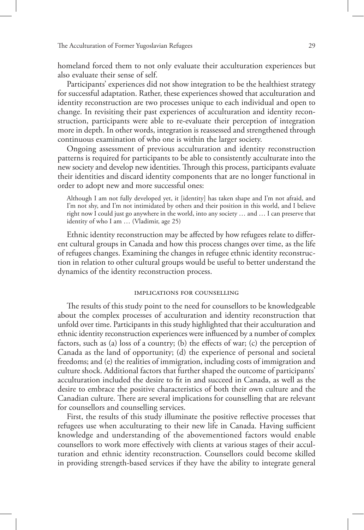homeland forced them to not only evaluate their acculturation experiences but also evaluate their sense of self.

Participants' experiences did not show integration to be the healthiest strategy for successful adaptation. Rather, these experiences showed that acculturation and identity reconstruction are two processes unique to each individual and open to change. In revisiting their past experiences of acculturation and identity reconstruction, participants were able to re-evaluate their perception of integration more in depth. In other words, integration is reassessed and strengthened through continuous examination of who one is within the larger society.

Ongoing assessment of previous acculturation and identity reconstruction patterns is required for participants to be able to consistently acculturate into the new society and develop new identities. Through this process, participants evaluate their identities and discard identity components that are no longer functional in order to adopt new and more successful ones:

Although I am not fully developed yet, it [identity] has taken shape and I'm not afraid, and I'm not shy, and I'm not intimidated by others and their position in this world, and I believe right now I could just go anywhere in the world, into any society … and … I can preserve that identity of who I am … (Vladimir, age 25)

Ethnic identity reconstruction may be affected by how refugees relate to different cultural groups in Canada and how this process changes over time, as the life of refugees changes. Examining the changes in refugee ethnic identity reconstruction in relation to other cultural groups would be useful to better understand the dynamics of the identity reconstruction process.

#### implications for counselling

The results of this study point to the need for counsellors to be knowledgeable about the complex processes of acculturation and identity reconstruction that unfold over time. Participants in this study highlighted that their acculturation and ethnic identity reconstruction experiences were influenced by a number of complex factors, such as (a) loss of a country; (b) the effects of war; (c) the perception of Canada as the land of opportunity; (d) the experience of personal and societal freedoms; and (e) the realities of immigration, including costs of immigration and culture shock. Additional factors that further shaped the outcome of participants' acculturation included the desire to fit in and succeed in Canada, as well as the desire to embrace the positive characteristics of both their own culture and the Canadian culture. There are several implications for counselling that are relevant for counsellors and counselling services.

First, the results of this study illuminate the positive reflective processes that refugees use when acculturating to their new life in Canada. Having sufficient knowledge and understanding of the abovementioned factors would enable counsellors to work more effectively with clients at various stages of their acculturation and ethnic identity reconstruction. Counsellors could become skilled in providing strength-based services if they have the ability to integrate general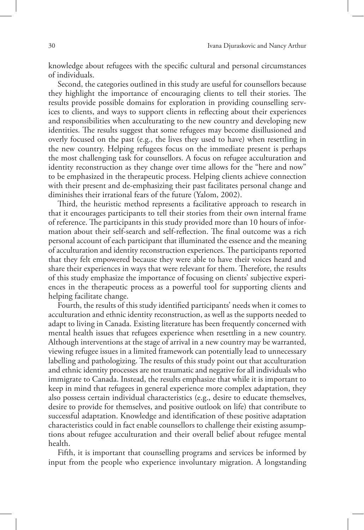knowledge about refugees with the specific cultural and personal circumstances of individuals.

Second, the categories outlined in this study are useful for counsellors because they highlight the importance of encouraging clients to tell their stories. The results provide possible domains for exploration in providing counselling services to clients, and ways to support clients in reflecting about their experiences and responsibilities when acculturating to the new country and developing new identities. The results suggest that some refugees may become disillusioned and overly focused on the past (e.g., the lives they used to have) when resettling in the new country. Helping refugees focus on the immediate present is perhaps the most challenging task for counsellors. A focus on refugee acculturation and identity reconstruction as they change over time allows for the "here and now" to be emphasized in the therapeutic process. Helping clients achieve connection with their present and de-emphasizing their past facilitates personal change and diminishes their irrational fears of the future (Yalom, 2002).

Third, the heuristic method represents a facilitative approach to research in that it encourages participants to tell their stories from their own internal frame of reference. The participants in this study provided more than 10 hours of information about their self-search and self-reflection. The final outcome was a rich personal account of each participant that illuminated the essence and the meaning of acculturation and identity reconstruction experiences. The participants reported that they felt empowered because they were able to have their voices heard and share their experiences in ways that were relevant for them. Therefore, the results of this study emphasize the importance of focusing on clients' subjective experiences in the therapeutic process as a powerful tool for supporting clients and helping facilitate change.

Fourth, the results of this study identified participants' needs when it comes to acculturation and ethnic identity reconstruction, as well as the supports needed to adapt to living in Canada. Existing literature has been frequently concerned with mental health issues that refugees experience when resettling in a new country. Although interventions at the stage of arrival in a new country may be warranted, viewing refugee issues in a limited framework can potentially lead to unnecessary labelling and pathologizing. The results of this study point out that acculturation and ethnic identity processes are not traumatic and negative for all individuals who immigrate to Canada. Instead, the results emphasize that while it is important to keep in mind that refugees in general experience more complex adaptation, they also possess certain individual characteristics (e.g., desire to educate themselves, desire to provide for themselves, and positive outlook on life) that contribute to successful adaptation. Knowledge and identification of these positive adaptation characteristics could in fact enable counsellors to challenge their existing assumptions about refugee acculturation and their overall belief about refugee mental health.

Fifth, it is important that counselling programs and services be informed by input from the people who experience involuntary migration. A longstanding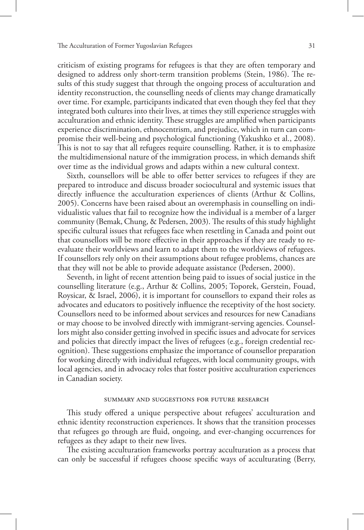criticism of existing programs for refugees is that they are often temporary and designed to address only short-term transition problems (Stein, 1986). The results of this study suggest that through the ongoing process of acculturation and identity reconstruction, the counselling needs of clients may change dramatically over time. For example, participants indicated that even though they feel that they integrated both cultures into their lives, at times they still experience struggles with acculturation and ethnic identity. These struggles are amplified when participants experience discrimination, ethnocentrism, and prejudice, which in turn can compromise their well-being and psychological functioning (Yakushko et al., 2008). This is not to say that all refugees require counselling. Rather, it is to emphasize the multidimensional nature of the immigration process, in which demands shift over time as the individual grows and adapts within a new cultural context.

Sixth, counsellors will be able to offer better services to refugees if they are prepared to introduce and discuss broader sociocultural and systemic issues that directly influence the acculturation experiences of clients (Arthur & Collins, 2005). Concerns have been raised about an overemphasis in counselling on individualistic values that fail to recognize how the individual is a member of a larger community (Bemak, Chung, & Pedersen, 2003). The results of this study highlight specific cultural issues that refugees face when resettling in Canada and point out that counsellors will be more effective in their approaches if they are ready to reevaluate their worldviews and learn to adapt them to the worldviews of refugees. If counsellors rely only on their assumptions about refugee problems, chances are that they will not be able to provide adequate assistance (Pedersen, 2000).

Seventh, in light of recent attention being paid to issues of social justice in the counselling literature (e.g., Arthur & Collins, 2005; Toporek, Gerstein, Fouad, Roysicar, & Israel, 2006), it is important for counsellors to expand their roles as advocates and educators to positively influence the receptivity of the host society. Counsellors need to be informed about services and resources for new Canadians or may choose to be involved directly with immigrant-serving agencies. Counsellors might also consider getting involved in specific issues and advocate for services and policies that directly impact the lives of refugees (e.g., foreign credential recognition). These suggestions emphasize the importance of counsellor preparation for working directly with individual refugees, with local community groups, with local agencies, and in advocacy roles that foster positive acculturation experiences in Canadian society.

## summary and suggestions for future research

This study offered a unique perspective about refugees' acculturation and ethnic identity reconstruction experiences. It shows that the transition processes that refugees go through are fluid, ongoing, and ever-changing occurrences for refugees as they adapt to their new lives.

The existing acculturation frameworks portray acculturation as a process that can only be successful if refugees choose specific ways of acculturating (Berry,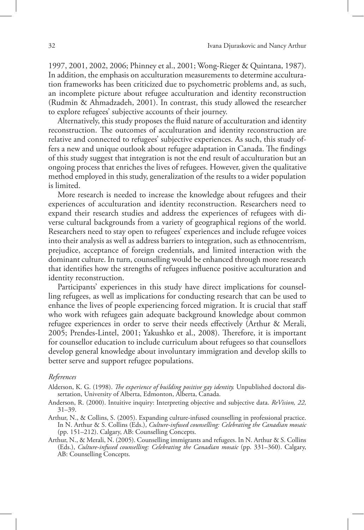1997, 2001, 2002, 2006; Phinney et al., 2001; Wong-Rieger & Quintana, 1987). In addition, the emphasis on acculturation measurements to determine acculturation frameworks has been criticized due to psychometric problems and, as such, an incomplete picture about refugee acculturation and identity reconstruction (Rudmin & Ahmadzadeh, 2001). In contrast, this study allowed the researcher to explore refugees' subjective accounts of their journey.

Alternatively, this study proposes the fluid nature of acculturation and identity reconstruction. The outcomes of acculturation and identity reconstruction are relative and connected to refugees' subjective experiences. As such, this study offers a new and unique outlook about refugee adaptation in Canada. The findings of this study suggest that integration is not the end result of acculturation but an ongoing process that enriches the lives of refugees. However, given the qualitative method employed in this study, generalization of the results to a wider population is limited.

More research is needed to increase the knowledge about refugees and their experiences of acculturation and identity reconstruction. Researchers need to expand their research studies and address the experiences of refugees with diverse cultural backgrounds from a variety of geographical regions of the world. Researchers need to stay open to refugees' experiences and include refugee voices into their analysis as well as address barriers to integration, such as ethnocentrism, prejudice, acceptance of foreign credentials, and limited interaction with the dominant culture. In turn, counselling would be enhanced through more research that identifies how the strengths of refugees influence positive acculturation and identity reconstruction.

Participants' experiences in this study have direct implications for counselling refugees, as well as implications for conducting research that can be used to enhance the lives of people experiencing forced migration. It is crucial that staff who work with refugees gain adequate background knowledge about common refugee experiences in order to serve their needs effectively (Arthur & Merali, 2005; Prendes-Lintel, 2001; Yakushko et al., 2008). Therefore, it is important for counsellor education to include curriculum about refugees so that counsellors develop general knowledge about involuntary immigration and develop skills to better serve and support refugee populations.

## *References*

- Alderson, K. G. (1998). *The experience of building positive gay identity.* Unpublished doctoral dissertation, University of Alberta, Edmonton, Alberta, Canada.
- Anderson, R. (2000). Intuitive inquiry: Interpreting objective and subjective data. *ReVision, 22,*  31–39.
- Arthur, N., & Collins, S. (2005). Expanding culture-infused counselling in professional practice. In N. Arthur & S. Collins (Eds.), *Culture-infused counselling: Celebrating the Canadian mosaic*  (pp. 151–212). Calgary, AB: Counselling Concepts.
- Arthur, N., & Merali, N. (2005). Counselling immigrants and refugees. In N. Arthur & S. Collins (Eds.), *Culture-infused counselling: Celebrating the Canadian mosaic* (pp. 331–360). Calgary, AB: Counselling Concepts.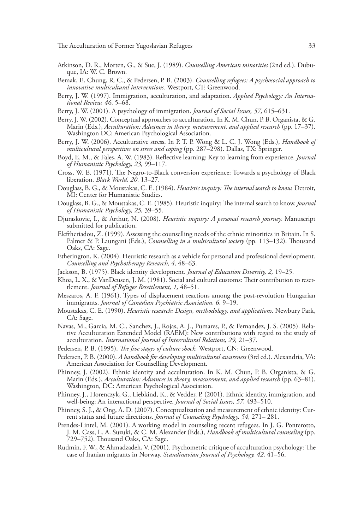- Atkinson, D. R., Morten, G., & Sue, J. (1989). *Counselling American minorities* (2nd ed.). Dubu- que, IA: W. C. Brown.
- Bemak, F., Chung, R. C., & Pedersen, P. B. (2003). *Counselling refugees: A psychosocial approach to innovative multicultural interventions.* Westport, CT: Greenwood.
- Berry, J. W. (1997). Immigration, acculturation, and adaptation. *Applied Psychology: An Interna- tional Review, 46,* 5–68.
- Berry, J. W. (2001). A psychology of immigration. *Journal of Social Issues, 57,* 615–631.
- Berry, J. W. (2002). Conceptual approaches to acculturation. In K. M. Chun, P. B. Organista, & G. Marin (Eds.), *Acculturation: Advances in theory, measurement, and applied research* (pp. 17–37). Washington DC: American Psychological Association.
- Berry, J. W. (2006). Acculturative stress. In P. T. P. Wong & L. C. J. Wong (Eds.), *Handbook of multicultural perspectives on stress and coping* (pp. 287–298). Dallas, TX: Springer.
- Boyd, E. M., & Fales, A. W. (1983). Reflective learning: Key to learning from experience. *Journal of Humanistic Psychology, 23,* 99–117.
- Cross, W. E. (1971). The Negro-to-Black conversion experience: Towards a psychology of Black liberation. *Black World, 20,* 13–27.
- Douglass, B. G., & Moustakas, C. E. (1984). *Heuristic inquiry: The internal search to know.* Detroit, MI: Center for Humanistic Studies.
- Douglass, B. G., & Moustakas, C. E. (1985). Heuristic inquiry: The internal search to know. *Journal of Humanistic Psychology, 25,* 39–55.
- Djuraskovic, I., & Arthur, N. (2008). *Heuristic inquiry: A personal research journey.* Manuscript submitted for publication.
- Eleftheriadou, Z. (1999). Assessing the counselling needs of the ethnic minorities in Britain. In S. Palmer & P. Laungani (Eds.), *Counselling in a multicultural society* (pp. 113–132). Thousand Oaks, CA: Sage.
- Etherington, K. (2004). Heuristic research as a vehicle for personal and professional development. *Counselling and Psychotherapy Research, 4,* 48–63.
- Jackson, B. (1975). Black identity development. *Journal of Education Diversity, 2,* 19–25.
- Khoa, L. X., & VanDeusen, J. M. (1981). Social and cultural customs: Their contribution to resettlement. *Journal of Refugee Resettlement, 1,* 48–51.
- Meszaros, A. F. (1961). Types of displacement reactions among the post-revolution Hungarian immigrants. *Journal of Canadian Psychiatric Association, 6,* 9–19.
- Moustakas, C. E. (1990). *Heuristic research: Design, methodology, and applications.* Newbury Park, CA: Sage.
- Navas, M., Garcia, M. C., Sanchez, J., Rojas, A. J., Pumares, P., & Fernandez, J. S. (2005). Rela- tive Acculturation Extended Model (RAEM): New contributions with regard to the study of acculturation. *International Journal of Intercultural Relations, 29,* 21–37.
- Pedersen, P. B. (1995). *The five stages of culture shock.* Westport, CN: Greenwood.
- Pedersen, P. B. (2000). *A handbook for developing multicultural awareness* (3rd ed.). Alexandria, VA: American Association for Counselling Development.
- Phinney, J. (2002). Ethnic identity and acculturation. In K. M. Chun, P. B. Organista, & G. Marin (Eds.), *Acculturation: Advances in theory, measurement, and applied research* (pp. 63–81). Washington, DC: American Psychological Association.
- Phinney, J., Horenczyk, G., Liebkind, K., & Vedder, P. (2001). Ethnic identity, immigration, and well-being: An interactional perspective. *Journal of Social Issues, 57,* 493–510.
- Phinney, S. J., & Ong, A. D. (2007). Conceptualization and measurement of ethnic identity: Current status and future directions. *Journal of Counseling Psychology, 54,* 271– 281.
- Prendes-Lintel, M. (2001). A working model in counseling recent refugees. In J. G. Ponterotto, J. M. Cass, L. A. Suzuki, & C. M. Alexander (Eds.), *Handbook of multicultural counseling* (pp. 729–752). Thousand Oaks, CA: Sage.
- Rudmin, F. W., & Ahmadzadeh, V. (2001). Psychometric critique of acculturation psychology: The case of Iranian migrants in Norway. *Scandinavian Journal of Psychology, 42,* 41–56.